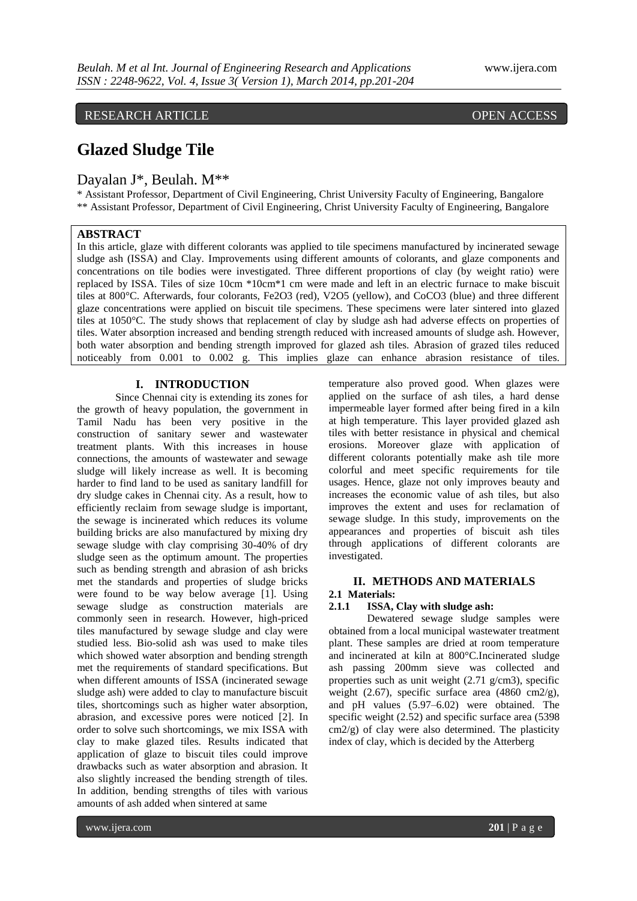# RESEARCH ARTICLE OPEN ACCESS

# **Glazed Sludge Tile**

# Dayalan J\*, Beulah. M\*\*

\* Assistant Professor, Department of Civil Engineering, Christ University Faculty of Engineering, Bangalore \*\* Assistant Professor, Department of Civil Engineering, Christ University Faculty of Engineering, Bangalore

# **ABSTRACT**

In this article, glaze with different colorants was applied to tile specimens manufactured by incinerated sewage sludge ash (ISSA) and Clay. Improvements using different amounts of colorants, and glaze components and concentrations on tile bodies were investigated. Three different proportions of clay (by weight ratio) were replaced by ISSA. Tiles of size 10cm \*10cm\*1 cm were made and left in an electric furnace to make biscuit tiles at 800°C. Afterwards, four colorants, Fe2O3 (red), V2O5 (yellow), and CoCO3 (blue) and three different glaze concentrations were applied on biscuit tile specimens. These specimens were later sintered into glazed tiles at 1050°C. The study shows that replacement of clay by sludge ash had adverse effects on properties of tiles. Water absorption increased and bending strength reduced with increased amounts of sludge ash. However, both water absorption and bending strength improved for glazed ash tiles. Abrasion of grazed tiles reduced noticeably from 0.001 to 0.002 g. This implies glaze can enhance abrasion resistance of tiles.

### **I. INTRODUCTION**

Since Chennai city is extending its zones for the growth of heavy population, the government in Tamil Nadu has been very positive in the construction of sanitary sewer and wastewater treatment plants. With this increases in house connections, the amounts of wastewater and sewage sludge will likely increase as well. It is becoming harder to find land to be used as sanitary landfill for dry sludge cakes in Chennai city. As a result, how to efficiently reclaim from sewage sludge is important, the sewage is incinerated which reduces its volume building bricks are also manufactured by mixing dry sewage sludge with clay comprising 30-40% of dry sludge seen as the optimum amount. The properties such as bending strength and abrasion of ash bricks met the standards and properties of sludge bricks were found to be way below average [1]. Using sewage sludge as construction materials are commonly seen in research. However, high-priced tiles manufactured by sewage sludge and clay were studied less. Bio-solid ash was used to make tiles which showed water absorption and bending strength met the requirements of standard specifications. But when different amounts of ISSA (incinerated sewage sludge ash) were added to clay to manufacture biscuit tiles, shortcomings such as higher water absorption, abrasion, and excessive pores were noticed [2]. In order to solve such shortcomings, we mix ISSA with clay to make glazed tiles. Results indicated that application of glaze to biscuit tiles could improve drawbacks such as water absorption and abrasion. It also slightly increased the bending strength of tiles. In addition, bending strengths of tiles with various amounts of ash added when sintered at same

temperature also proved good. When glazes were applied on the surface of ash tiles, a hard dense impermeable layer formed after being fired in a kiln at high temperature. This layer provided glazed ash tiles with better resistance in physical and chemical erosions. Moreover glaze with application of different colorants potentially make ash tile more colorful and meet specific requirements for tile usages. Hence, glaze not only improves beauty and increases the economic value of ash tiles, but also improves the extent and uses for reclamation of sewage sludge. In this study, improvements on the appearances and properties of biscuit ash tiles through applications of different colorants are investigated.

# **II. METHODS AND MATERIALS**

#### **2.1 Materials:**

# **2.1.1 ISSA, Clay with sludge ash:**

Dewatered sewage sludge samples were obtained from a local municipal wastewater treatment plant. These samples are dried at room temperature and incinerated at kiln at 800°C.Incinerated sludge ash passing 200mm sieve was collected and properties such as unit weight (2.71 g/cm3), specific weight (2.67), specific surface area (4860 cm2/g), and pH values (5.97–6.02) were obtained. The specific weight (2.52) and specific surface area (5398 cm2/g) of clay were also determined. The plasticity index of clay, which is decided by the Atterberg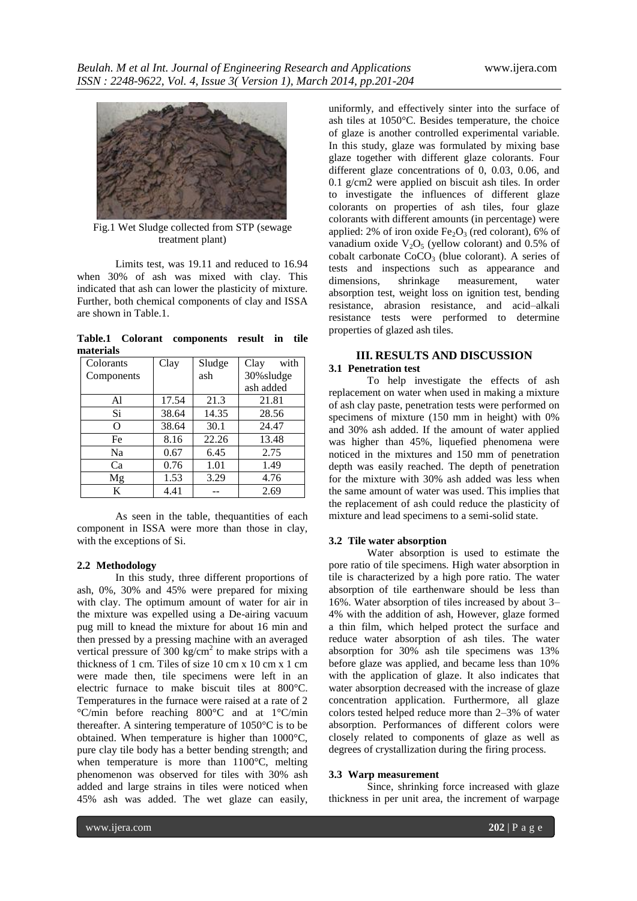

Fig.1 Wet Sludge collected from STP (sewage treatment plant)

Limits test, was 19.11 and reduced to 16.94 when 30% of ash was mixed with clay. This indicated that ash can lower the plasticity of mixture. Further, both chemical components of clay and ISSA are shown in Table.1.

**Table.1 Colorant components result in tile materials**

| Colorants  | Clay  | Sludge | with<br>Clay |
|------------|-------|--------|--------------|
| Components |       | ash    | 30% sludge   |
|            |       |        | ash added    |
| Al         | 17.54 | 21.3   | 21.81        |
| Si         | 38.64 | 14.35  | 28.56        |
| O          | 38.64 | 30.1   | 24.47        |
| Fe         | 8.16  | 22.26  | 13.48        |
| Na         | 0.67  | 6.45   | 2.75         |
| Ca         | 0.76  | 1.01   | 1.49         |
| Mg         | 1.53  | 3.29   | 4.76         |
| K          | 4.41  |        | 2.69         |

As seen in the table, the quantities of each component in ISSA were more than those in clay, with the exceptions of Si.

### **2.2 Methodology**

In this study, three different proportions of ash, 0%, 30% and 45% were prepared for mixing with clay. The optimum amount of water for air in the mixture was expelled using a De-airing vacuum pug mill to knead the mixture for about 16 min and then pressed by a pressing machine with an averaged vertical pressure of 300  $\text{kg/cm}^2$  to make strips with a thickness of 1 cm. Tiles of size  $10 \text{ cm} x 10 \text{ cm} x 1 \text{ cm}$ were made then, tile specimens were left in an electric furnace to make biscuit tiles at 800°C. Temperatures in the furnace were raised at a rate of 2 °C/min before reaching 800°C and at 1°C/min thereafter. A sintering temperature of 1050°C is to be obtained. When temperature is higher than 1000°C, pure clay tile body has a better bending strength; and when temperature is more than 1100°C, melting phenomenon was observed for tiles with 30% ash added and large strains in tiles were noticed when 45% ash was added. The wet glaze can easily, uniformly, and effectively sinter into the surface of ash tiles at 1050°C. Besides temperature, the choice of glaze is another controlled experimental variable. In this study, glaze was formulated by mixing base glaze together with different glaze colorants. Four different glaze concentrations of 0, 0.03, 0.06, and 0.1 g/cm2 were applied on biscuit ash tiles. In order to investigate the influences of different glaze colorants on properties of ash tiles, four glaze colorants with different amounts (in percentage) were applied: 2% of iron oxide  $Fe<sub>2</sub>O<sub>3</sub>$  (red colorant), 6% of vanadium oxide  $V_2O_5$  (yellow colorant) and 0.5% of cobalt carbonate  $CoCO<sub>3</sub>$  (blue colorant). A series of tests and inspections such as appearance and dimensions, shrinkage measurement, water dimensions, shrinkage measurement, water absorption test, weight loss on ignition test, bending resistance, abrasion resistance, and acid–alkali resistance tests were performed to determine properties of glazed ash tiles.

## **III. RESULTS AND DISCUSSION 3.1 Penetration test**

To help investigate the effects of ash replacement on water when used in making a mixture of ash clay paste, penetration tests were performed on specimens of mixture (150 mm in height) with 0% and 30% ash added. If the amount of water applied was higher than 45%, liquefied phenomena were noticed in the mixtures and 150 mm of penetration depth was easily reached. The depth of penetration for the mixture with 30% ash added was less when the same amount of water was used. This implies that the replacement of ash could reduce the plasticity of mixture and lead specimens to a semi-solid state.

#### **3.2 Tile water absorption**

Water absorption is used to estimate the pore ratio of tile specimens. High water absorption in tile is characterized by a high pore ratio. The water absorption of tile earthenware should be less than 16%. Water absorption of tiles increased by about 3– 4% with the addition of ash, However, glaze formed a thin film, which helped protect the surface and reduce water absorption of ash tiles. The water absorption for 30% ash tile specimens was 13% before glaze was applied, and became less than 10% with the application of glaze. It also indicates that water absorption decreased with the increase of glaze concentration application. Furthermore, all glaze colors tested helped reduce more than 2–3% of water absorption. Performances of different colors were closely related to components of glaze as well as degrees of crystallization during the firing process.

#### **3.3 Warp measurement**

Since, shrinking force increased with glaze thickness in per unit area, the increment of warpage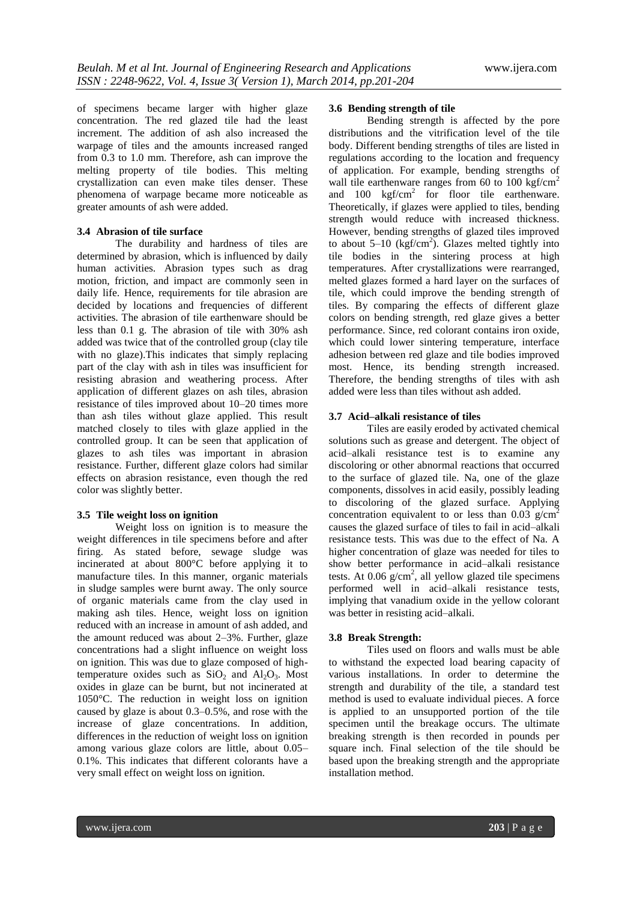of specimens became larger with higher glaze concentration. The red glazed tile had the least increment. The addition of ash also increased the warpage of tiles and the amounts increased ranged from 0.3 to 1.0 mm. Therefore, ash can improve the melting property of tile bodies. This melting crystallization can even make tiles denser. These phenomena of warpage became more noticeable as greater amounts of ash were added.

#### **3.4 Abrasion of tile surface**

The durability and hardness of tiles are determined by abrasion, which is influenced by daily human activities. Abrasion types such as drag motion, friction, and impact are commonly seen in daily life. Hence, requirements for tile abrasion are decided by locations and frequencies of different activities. The abrasion of tile earthenware should be less than 0.1 g. The abrasion of tile with 30% ash added was twice that of the controlled group (clay tile with no glaze).This indicates that simply replacing part of the clay with ash in tiles was insufficient for resisting abrasion and weathering process. After application of different glazes on ash tiles, abrasion resistance of tiles improved about 10–20 times more than ash tiles without glaze applied. This result matched closely to tiles with glaze applied in the controlled group. It can be seen that application of glazes to ash tiles was important in abrasion resistance. Further, different glaze colors had similar effects on abrasion resistance, even though the red color was slightly better.

#### **3.5 Tile weight loss on ignition**

Weight loss on ignition is to measure the weight differences in tile specimens before and after firing. As stated before, sewage sludge was incinerated at about 800°C before applying it to manufacture tiles. In this manner, organic materials in sludge samples were burnt away. The only source of organic materials came from the clay used in making ash tiles. Hence, weight loss on ignition reduced with an increase in amount of ash added, and the amount reduced was about 2–3%. Further, glaze concentrations had a slight influence on weight loss on ignition. This was due to glaze composed of hightemperature oxides such as  $SiO<sub>2</sub>$  and  $Al<sub>2</sub>O<sub>3</sub>$ . Most oxides in glaze can be burnt, but not incinerated at 1050°C. The reduction in weight loss on ignition caused by glaze is about 0.3–0.5%, and rose with the increase of glaze concentrations. In addition, differences in the reduction of weight loss on ignition among various glaze colors are little, about 0.05– 0.1%. This indicates that different colorants have a very small effect on weight loss on ignition.

#### **3.6 Bending strength of tile**

Bending strength is affected by the pore distributions and the vitrification level of the tile body. Different bending strengths of tiles are listed in regulations according to the location and frequency of application. For example, bending strengths of wall tile earthenware ranges from 60 to 100 kgf/cm<sup>2</sup> and  $100 \text{ kgf/cm}^2$  for floor tile earthenware. Theoretically, if glazes were applied to tiles, bending strength would reduce with increased thickness. However, bending strengths of glazed tiles improved to about  $5{\text -}10$  (kgf/cm<sup>2</sup>). Glazes melted tightly into tile bodies in the sintering process at high temperatures. After crystallizations were rearranged, melted glazes formed a hard layer on the surfaces of tile, which could improve the bending strength of tiles. By comparing the effects of different glaze colors on bending strength, red glaze gives a better performance. Since, red colorant contains iron oxide, which could lower sintering temperature, interface adhesion between red glaze and tile bodies improved most. Hence, its bending strength increased. Therefore, the bending strengths of tiles with ash added were less than tiles without ash added.

## **3.7 Acid–alkali resistance of tiles**

Tiles are easily eroded by activated chemical solutions such as grease and detergent. The object of acid–alkali resistance test is to examine any discoloring or other abnormal reactions that occurred to the surface of glazed tile. Na, one of the glaze components, dissolves in acid easily, possibly leading to discoloring of the glazed surface. Applying concentration equivalent to or less than 0.03  $g/cm<sup>2</sup>$ causes the glazed surface of tiles to fail in acid–alkali resistance tests. This was due to the effect of Na. A higher concentration of glaze was needed for tiles to show better performance in acid–alkali resistance tests. At  $0.06 \text{ g/cm}^2$ , all yellow glazed tile specimens performed well in acid–alkali resistance tests, implying that vanadium oxide in the yellow colorant was better in resisting acid–alkali.

#### **3.8 Break Strength:**

Tiles used on floors and walls must be able to withstand the expected load bearing capacity of various installations. In order to determine the strength and durability of the tile, a standard test method is used to evaluate individual pieces. A force is applied to an unsupported portion of the tile specimen until the breakage occurs. The ultimate breaking strength is then recorded in pounds per square inch. Final selection of the tile should be based upon the breaking strength and the appropriate installation method.